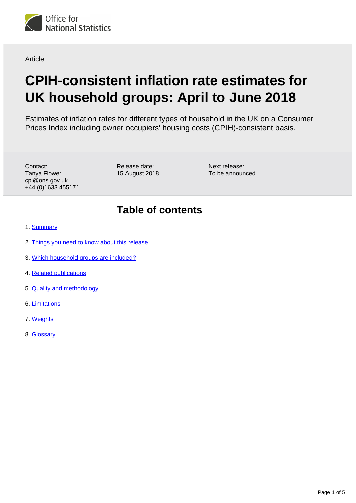

**Article** 

# **CPIH-consistent inflation rate estimates for UK household groups: April to June 2018**

Estimates of inflation rates for different types of household in the UK on a Consumer Prices Index including owner occupiers' housing costs (CPIH)-consistent basis.

Contact: Tanya Flower cpi@ons.gov.uk +44 (0)1633 455171 Release date: 15 August 2018 Next release: To be announced

# **Table of contents**

- 1. [Summary](#page-1-0)
- 2. [Things you need to know about this release](#page-1-1)
- 3. [Which household groups are included?](#page-1-2)
- 4. [Related publications](#page-2-0)
- 5. [Quality and methodology](#page-2-1)
- 6. [Limitations](#page-2-2)
- 7. [Weights](#page-2-3)
- 8. [Glossary](#page-2-4)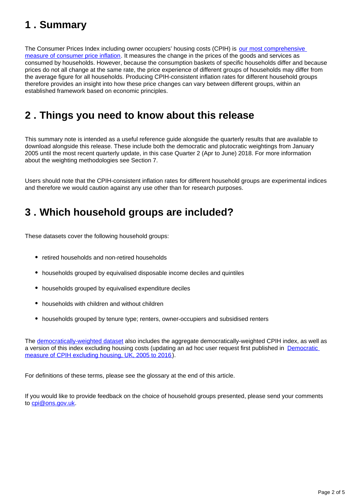# <span id="page-1-0"></span>**1 . Summary**

The Consumer Prices Index including owner occupiers' housing costs (CPIH) is our most comprehensive [measure of consumer price inflation](https://www.ons.gov.uk/economy/inflationandpriceindices/articles/measuringchangingpricesandcostsforconsumersandhouseholds/2017-07-18). It measures the change in the prices of the goods and services as consumed by households. However, because the consumption baskets of specific households differ and because prices do not all change at the same rate, the price experience of different groups of households may differ from the average figure for all households. Producing CPIH-consistent inflation rates for different household groups therefore provides an insight into how these price changes can vary between different groups, within an established framework based on economic principles.

# <span id="page-1-1"></span>**2 . Things you need to know about this release**

This summary note is intended as a useful reference guide alongside the quarterly results that are available to download alongside this release. These include both the democratic and plutocratic weightings from January 2005 until the most recent quarterly update, in this case Quarter 2 (Apr to June) 2018. For more information about the weighting methodologies see Section 7.

Users should note that the CPIH-consistent inflation rates for different household groups are experimental indices and therefore we would caution against any use other than for research purposes.

# <span id="page-1-2"></span>**3 . Which household groups are included?**

These datasets cover the following household groups:

- retired households and non-retired households
- households grouped by equivalised disposable income deciles and quintiles
- households grouped by equivalised expenditure deciles
- households with children and without children
- households grouped by tenure type; renters, owner-occupiers and subsidised renters

The [democratically-weighted dataset](https://www.ons.gov.uk/economy/inflationandpriceindices/datasets/cpihconsistentinflationrateestimatesforukhouseholdgroupsdemocraticweighting) also includes the aggregate democratically-weighted CPIH index, as well as a version of this index excluding housing costs (updating an ad hoc user request first published in Democratic [measure of CPIH excluding housing, UK, 2005 to 2016](https://www.ons.gov.uk/economy/inflationandpriceindices/adhocs/007752democraticmeasureofcpihexcludinghousinguk2005to2016)).

For definitions of these terms, please see the glossary at the end of this article.

If you would like to provide feedback on the choice of household groups presented, please send your comments to cpi@ons.gov.uk.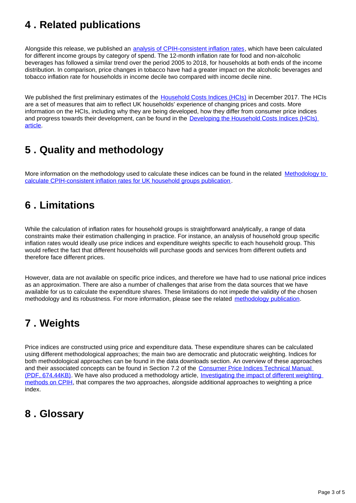# <span id="page-2-0"></span>**4 . Related publications**

Alongside this release, we published an [analysis of CPIH-consistent inflation rates](https://www.ons.gov.uk/economy/inflationandpriceindices/articles/cpihconsistentinflationratesforincomegroupsbycategoryofspenduk/2005to2018), which have been calculated for different income groups by category of spend. The 12-month inflation rate for food and non-alcoholic beverages has followed a similar trend over the period 2005 to 2018, for households at both ends of the income distribution. In comparison, price changes in tobacco have had a greater impact on the alcoholic beverages and tobacco inflation rate for households in income decile two compared with income decile nine.

We published the first preliminary estimates of the [Household Costs Indices \(HCIs\)](https://www.ons.gov.uk/economy/inflationandpriceindices/bulletins/householdcostsindices/preliminaryestimates2005to2017) in December 2017. The HCIs are a set of measures that aim to reflect UK households' experience of changing prices and costs. More information on the HCIs, including why they are being developed, how they differ from consumer price indices and progress towards their development, can be found in the **Developing the Household Costs Indices (HCIs)** [article.](https://www.ons.gov.uk/economy/inflationandpriceindices/articles/developingthehouseholdcostsindiceshcis/2017-11-08)

# <span id="page-2-1"></span>**5 . Quality and methodology**

More information on the methodology used to calculate these indices can be found in the related Methodology to [calculate CPIH-consistent inflation rates for UK household groups publication](https://www.ons.gov.uk/economy/inflationandpriceindices/methodologies/methodologytocalculatecpihconsistentinflationratesforukhouseholdgroups) .

## <span id="page-2-2"></span>**6 . Limitations**

While the calculation of inflation rates for household groups is straightforward analytically, a range of data constraints make their estimation challenging in practice. For instance, an analysis of household group specific inflation rates would ideally use price indices and expenditure weights specific to each household group. This would reflect the fact that different households will purchase goods and services from different outlets and therefore face different prices.

However, data are not available on specific price indices, and therefore we have had to use national price indices as an approximation. There are also a number of challenges that arise from the data sources that we have available for us to calculate the expenditure shares. These limitations do not impede the validity of the chosen methodology and its robustness. For more information, please see the related [methodology publication](https://www.ons.gov.uk/economy/inflationandpriceindices/methodologies/methodologytocalculatecpihconsistentinflationratesforukhouseholdgroups).

# <span id="page-2-3"></span>**7 . Weights**

Price indices are constructed using price and expenditure data. These expenditure shares can be calculated using different methodological approaches; the main two are democratic and plutocratic weighting. Indices for both methodological approaches can be found in the data downloads section. An overview of these approaches and their associated concepts can be found in Section 7.2 of the Consumer Price Indices Technical Manual [\(PDF, 674.44KB\)](http://www.ons.gov.uk/ons/guide-method/user-guidance/prices/cpi-and-rpi/cpi-technical-manual/consumer-price-indices-technical-manual--2014.pdf?format=contrast). We have also produced a methodology article, [Investigating the impact of different weighting](https://www.ons.gov.uk/economy/inflationandpriceindices/methodologies/investigatingtheimpactofdifferentweightingmethodsoncpih)  [methods on CPIH,](https://www.ons.gov.uk/economy/inflationandpriceindices/methodologies/investigatingtheimpactofdifferentweightingmethodsoncpih) that compares the two approaches, alongside additional approaches to weighting a price index.

### <span id="page-2-4"></span>**8 . Glossary**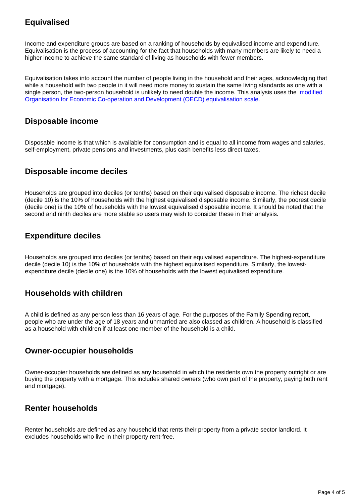### **Equivalised**

Income and expenditure groups are based on a ranking of households by equivalised income and expenditure. Equivalisation is the process of accounting for the fact that households with many members are likely to need a higher income to achieve the same standard of living as households with fewer members.

Equivalisation takes into account the number of people living in the household and their ages, acknowledging that while a household with two people in it will need more money to sustain the same living standards as one with a single person, the two-person household is unlikely to need double the income. This analysis uses the [modified](http://webarchive.nationalarchives.gov.uk/20160105160709/http:/www.ons.gov.uk/ons/rel/elmr/economic-and-labour-market-review/no--1--january-2010/using-the-oecd-equivalence-scale-in-taxes-and-benefits-analysis.pdf)  [Organisation for Economic Co-operation and Development \(OECD\) equivalisation scale.](http://webarchive.nationalarchives.gov.uk/20160105160709/http:/www.ons.gov.uk/ons/rel/elmr/economic-and-labour-market-review/no--1--january-2010/using-the-oecd-equivalence-scale-in-taxes-and-benefits-analysis.pdf)

### **Disposable income**

Disposable income is that which is available for consumption and is equal to all income from wages and salaries, self-employment, private pensions and investments, plus cash benefits less direct taxes.

### **Disposable income deciles**

Households are grouped into deciles (or tenths) based on their equivalised disposable income. The richest decile (decile 10) is the 10% of households with the highest equivalised disposable income. Similarly, the poorest decile (decile one) is the 10% of households with the lowest equivalised disposable income. It should be noted that the second and ninth deciles are more stable so users may wish to consider these in their analysis.

### **Expenditure deciles**

Households are grouped into deciles (or tenths) based on their equivalised expenditure. The highest-expenditure decile (decile 10) is the 10% of households with the highest equivalised expenditure. Similarly, the lowestexpenditure decile (decile one) is the 10% of households with the lowest equivalised expenditure.

### **Households with children**

A child is defined as any person less than 16 years of age. For the purposes of the Family Spending report, people who are under the age of 18 years and unmarried are also classed as children. A household is classified as a household with children if at least one member of the household is a child.

### **Owner-occupier households**

Owner-occupier households are defined as any household in which the residents own the property outright or are buying the property with a mortgage. This includes shared owners (who own part of the property, paying both rent and mortgage).

### **Renter households**

Renter households are defined as any household that rents their property from a private sector landlord. It excludes households who live in their property rent-free.